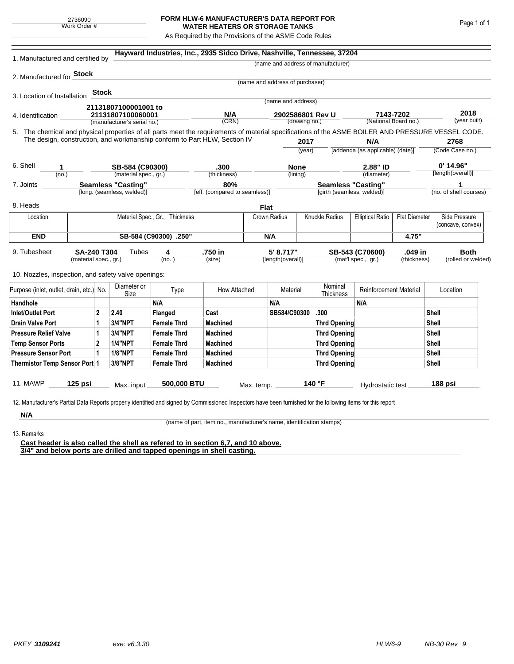## **FORM HLW-6 MANUFACTURER'S DATA REPORT FOR WATER HEATERS OR STORAGE TANKS**

As Required by the Provisions of the ASME Code Rules

| 1. Manufactured and certified by                                                                                                                                                                                                                                                    |                                |       |                                                         |                       | Hayward Industries, Inc., 2935 Sidco Drive, Nashville, Tennessee, 37204 |             |                                 |                                                         |                                    |                                         |                                  |                                    |                             |  |
|-------------------------------------------------------------------------------------------------------------------------------------------------------------------------------------------------------------------------------------------------------------------------------------|--------------------------------|-------|---------------------------------------------------------|-----------------------|-------------------------------------------------------------------------|-------------|---------------------------------|---------------------------------------------------------|------------------------------------|-----------------------------------------|----------------------------------|------------------------------------|-----------------------------|--|
|                                                                                                                                                                                                                                                                                     |                                |       |                                                         |                       |                                                                         |             |                                 |                                                         | (name and address of manufacturer) |                                         |                                  |                                    |                             |  |
| 2. Manufactured for Stock                                                                                                                                                                                                                                                           |                                |       |                                                         |                       |                                                                         |             |                                 |                                                         |                                    |                                         |                                  |                                    |                             |  |
|                                                                                                                                                                                                                                                                                     |                                |       |                                                         |                       |                                                                         |             | (name and address of purchaser) |                                                         |                                    |                                         |                                  |                                    |                             |  |
| 3. Location of Installation                                                                                                                                                                                                                                                         |                                | Stock |                                                         |                       |                                                                         |             | (name and address)              |                                                         |                                    |                                         |                                  |                                    |                             |  |
|                                                                                                                                                                                                                                                                                     |                                |       | 21131807100001001 to                                    |                       |                                                                         |             |                                 |                                                         |                                    |                                         |                                  |                                    |                             |  |
| 4. Identification                                                                                                                                                                                                                                                                   |                                |       |                                                         | 21131807100060001     |                                                                         | N/A         |                                 | 2902586801 Rev U<br>(drawing no.)                       |                                    | 7143-7202<br>(National Board no.)       |                                  | 2018<br>(year built)               |                             |  |
|                                                                                                                                                                                                                                                                                     |                                |       | (manufacturer's serial no.)                             |                       | (CRN)                                                                   |             |                                 |                                                         |                                    |                                         |                                  |                                    |                             |  |
| 5. The chemical and physical properties of all parts meet the requirements of material specifications of the ASME BOILER AND PRESSURE VESSEL CODE.<br>The design, construction, and workmanship conform to Part HLW, Section IV                                                     |                                |       |                                                         |                       |                                                                         |             |                                 |                                                         | 2768                               |                                         |                                  |                                    |                             |  |
|                                                                                                                                                                                                                                                                                     |                                |       |                                                         |                       |                                                                         |             | 2017<br>(year)                  |                                                         |                                    | N/A<br>[addenda (as applicable) (date)] |                                  | (Code Case no.)                    |                             |  |
|                                                                                                                                                                                                                                                                                     |                                |       |                                                         |                       |                                                                         |             |                                 |                                                         |                                    |                                         |                                  |                                    |                             |  |
| 6. Shell<br>1                                                                                                                                                                                                                                                                       |                                |       | SB-584 (C90300)                                         |                       | .300                                                                    |             | <b>None</b>                     |                                                         | 2.88" ID                           |                                         | $0'$ 14.96"<br>[length(overall)] |                                    |                             |  |
| (no.)                                                                                                                                                                                                                                                                               |                                |       |                                                         | (material spec., gr.) |                                                                         | (thickness) |                                 | (lining)                                                |                                    | (diameter)                              |                                  |                                    |                             |  |
| 7. Joints                                                                                                                                                                                                                                                                           |                                |       | <b>Seamless "Casting"</b><br>[long. (seamless, welded)] |                       | 80%<br>[eff. (compared to seamless)]                                    |             |                                 | <b>Seamless "Casting"</b><br>[girth (seamless, welded)] |                                    |                                         |                                  |                                    | 1<br>(no. of shell courses) |  |
|                                                                                                                                                                                                                                                                                     |                                |       |                                                         |                       |                                                                         |             |                                 |                                                         |                                    |                                         |                                  |                                    |                             |  |
| 8. Heads                                                                                                                                                                                                                                                                            |                                |       |                                                         |                       |                                                                         | <b>Flat</b> |                                 |                                                         |                                    |                                         |                                  |                                    |                             |  |
| Location                                                                                                                                                                                                                                                                            | Material Spec., Gr., Thickness |       |                                                         |                       |                                                                         |             | Knuckle Radius<br>Crown Radius  |                                                         | <b>Elliptical Ratio</b>            | <b>Flat Diameter</b>                    |                                  | Side Pressure<br>(concave, convex) |                             |  |
| <b>END</b>                                                                                                                                                                                                                                                                          |                                |       |                                                         | SB-584 (C90300) .250" |                                                                         |             | N/A                             |                                                         |                                    |                                         | 4.75"                            |                                    |                             |  |
| .750 in<br>5' 8.717"<br>.049 in<br><b>Both</b><br>9. Tubesheet<br><b>SA-240 T304</b><br>Tubes<br>SB-543 (C70600)<br>4<br>(material spec., gr.)<br>(no. )<br>(size)<br>[length(overall)]<br>(mat'l spec., gr.)<br>(thickness)<br>10. Nozzles, inspection, and safety valve openings: |                                |       |                                                         |                       |                                                                         |             |                                 |                                                         |                                    | (rolled or welded)                      |                                  |                                    |                             |  |
| Purpose (inlet, outlet, drain, etc.) No.                                                                                                                                                                                                                                            |                                |       | Diameter or<br>Size                                     | Type                  | How Attached                                                            |             | Material                        |                                                         | Nominal<br>Thickness               | <b>Reinforcement Material</b>           |                                  | Location                           |                             |  |
| Handhole                                                                                                                                                                                                                                                                            |                                |       |                                                         | N/A                   |                                                                         |             | N/A                             |                                                         |                                    | N/A                                     |                                  |                                    |                             |  |
| 2<br>Inlet/Outlet Port                                                                                                                                                                                                                                                              |                                |       | 2.40                                                    | Flanged               | Cast                                                                    |             | SB584/C90300                    |                                                         | .300                               |                                         |                                  | <b>Shell</b>                       |                             |  |
| Drain Valve Port<br>1                                                                                                                                                                                                                                                               |                                |       | 3/4"NPT                                                 | <b>Female Thrd</b>    | <b>Machined</b>                                                         |             |                                 |                                                         | <b>Thrd Opening</b>                |                                         |                                  |                                    | Shell                       |  |
| <b>Pressure Relief Valve</b><br>1                                                                                                                                                                                                                                                   |                                |       | 3/4"NPT                                                 | <b>Female Thrd</b>    | <b>Machined</b>                                                         |             |                                 |                                                         | <b>Thrd Opening</b>                |                                         |                                  | Shell                              |                             |  |
| $\overline{2}$<br><b>Temp Sensor Ports</b>                                                                                                                                                                                                                                          |                                |       | <b>1/4"NPT</b>                                          | <b>Female Thrd</b>    | <b>Machined</b>                                                         |             |                                 |                                                         | <b>Thrd Opening</b>                |                                         | Shell                            |                                    |                             |  |
| <b>Pressure Sensor Port</b><br>1                                                                                                                                                                                                                                                    |                                |       | <b>1/8"NPT</b>                                          | <b>Female Thrd</b>    | <b>Machined</b>                                                         |             |                                 |                                                         | <b>Thrd Opening</b>                |                                         |                                  | Shell                              |                             |  |
| Thermistor Temp Sensor Port 1                                                                                                                                                                                                                                                       |                                |       | 3/8"NPT                                                 | <b>Female Thrd</b>    | <b>Machined</b>                                                         |             |                                 |                                                         | <b>Thrd Opening</b>                |                                         | <b>Shell</b>                     |                                    |                             |  |
| 11. MAWP<br>12. Manufacturer's Partial Data Reports properly identified and signed by Commissioned Inspectors have been furnished for the following items for this report                                                                                                           | $125$ psi                      |       | Max. input                                              | 500,000 BTU           |                                                                         | Max. temp.  |                                 |                                                         | 140 °F                             | Hydrostatic test                        |                                  |                                    | 188 psi                     |  |
| N/A                                                                                                                                                                                                                                                                                 |                                |       |                                                         |                       |                                                                         |             |                                 |                                                         |                                    |                                         |                                  |                                    |                             |  |

(name of part, item no., manufacturer's name, identification stamps)

13. Remarks

**Cast header is also called the shell as refered to in section 6,7, and 10 above. 3/4" and below ports are drilled and tapped openings in shell casting.**